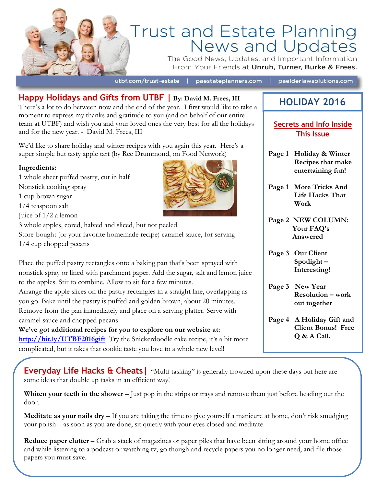

# Trust and Estate Planning<br>News and Updates

The Good News, Updates, and Important Information From Your Friends at Unruh, Turner, Burke & Frees.

utbf.com/trust-estate | paestateplanners.com | paelderlawsolutions.com

**Happy Holidays and Gifts from UTBF | By: David M. Frees, III**  There's a lot to do between now and the end of the year. I first would like to take a moment to express my thanks and gratitude to you (and on behalf of our entire team at UTBF) and wish you and your loved ones the very best for all the holidays and for the new year. - David M. Frees, III

We'd like to share holiday and winter recipes with you again this year. Here's a super simple but tasty apple tart (by Ree Drummond, on Food Network)

#### **Ingredients:**

1 whole sheet puffed pastry, cut in half Nonstick cooking spray 1 cup brown sugar 1/4 teaspoon salt Juice of 1/2 a lemon 3 whole apples, cored, halved and sliced, but not peeled Store-bought (or your favorite homemade recipe) caramel sauce, for serving 1/4 cup chopped pecans Place the puffed pastry rectangles onto a baking pan that's been sprayed with

nonstick spray or lined with parchment paper. Add the sugar, salt and lemon juice to the apples. Stir to combine. Allow to sit for a few minutes. Arrange the apple slices on the pastry rectangles in a straight line, overlapping as

you go. Bake until the pastry is puffed and golden brown, about 20 minutes. Remove from the pan immediately and place on a serving platter. Serve with caramel sauce and chopped pecans.

**We've got additional recipes for you to explore on our website at: <http://bit.ly/UTBF2016gift>** Try the Snickerdoodle cake recipe, it's a bit more complicated, but it takes that cookie taste you love to a whole new level!



# **HOLIDAY 2016**

#### **Secrets and Info Inside This Issue**

- **Page 1 Holiday & Winter Recipes that make entertaining fun!**
- **Page 1 More Tricks And Life Hacks That Work**
- **Page 2 NEW COLUMN: Your FAQ's Answered**
- **Page 3 Our Client Spotlight – Interesting!**
- **Page 3 New Year Resolution – work out together**
- **Page 4 A Holiday Gift and Client Bonus! Free Q & A Call.**

**Everyday Life Hacks & Cheats** | "Multi-tasking" is generally frowned upon these days but here are some ideas that double up tasks in an efficient way!

**Whiten your teeth in the shower** – Just pop in the strips or trays and remove them just before heading out the door.

**Meditate as your nails dry** – If you are taking the time to give yourself a manicure at home, don't risk smudging your polish – as soon as you are done, sit quietly with your eyes closed and meditate.

**Reduce paper clutter** – Grab a stack of magazines or paper piles that have been sitting around your home office and while listening to a podcast or watching tv, go though and recycle papers you no longer need, and file those papers you must save.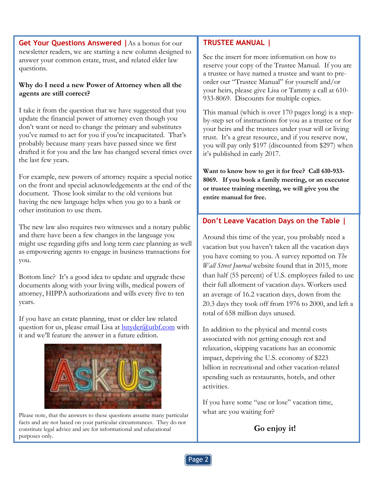**Get Your Questions Answered |**As a bonus for our newsletter readers, we are starting a new column designed to answer your common estate, trust, and related elder law questions.

#### **Why do I need a new Power of Attorney when all the agents are still correct?**

I take it from the question that we have suggested that you update the financial power of attorney even though you don't want or need to change the primary and substitutes you've named to act for you if you're incapacitated. That's probably because many years have passed since we first drafted it for you and the law has changed several times over the last few years.

For example, new powers of attorney require a special notice on the front and special acknowledgements at the end of the document. Those look similar to the old versions but having the new language helps when you go to a bank or other institution to use them.

The new law also requires two witnesses and a notary public and there have been a few changes in the language you might use regarding gifts and long term care planning as well as empowering agents to engage in business transactions for you.

Bottom line? It's a good idea to update and upgrade these documents along with your living wills, medical powers of attorney, HIPPA authorizations and wills every five to ten years.

If you have an estate planning, trust or elder law related question for us, please email Lisa at  $lsn \cdot \text{order}(a)$ utbf.com with it and we'll feature the answer in a future edition.



Please note, that the answers to these questions assume many particular facts and are not based on your particular circumstances. They do not constitute legal advice and are for informational and educational purposes only.

#### **TRUSTEE MANUAL |**

See the insert for more information on how to reserve your copy of the Trustee Manual. If you are a trustee or have named a trustee and want to preorder our "Trustee Manual" for yourself and/or your heirs, please give Lisa or Tammy a call at 610- 933-8069. Discounts for multiple copies.

This manual (which is over 170 pages long) is a stepby-step set of instructions for you as a trustee or for your heirs and the trustees under your will or living trust. It's a great resource, and if you reserve now, you will pay only \$197 (discounted from \$297) when it's published in early 2017.

**Want to know how to get it for free? Call 610-933- 8069. If you book a family meeting, or an executor or trustee training meeting, we will give you the entire manual for free.**

#### **Don't Leave Vacation Days on the Table |**

Around this time of the year, you probably need a vacation but you haven't taken all the vacation days you have coming to you. A survey reported on *The Wall Street Journal* website found that in 2015, more than half (55 percent) of U.S. employees failed to use their full allotment of vacation days. Workers used an average of 16.2 vacation days, down from the 20.3 days they took off from 1976 to 2000, and left a total of 658 million days unused.

In addition to the physical and mental costs associated with not getting enough rest and relaxation, skipping vacations has an economic impact, depriving the U.S. economy of \$223 billion in recreational and other vacation-related spending such as restaurants, hotels, and other activities.

If you have some "use or lose" vacation time, what are you waiting for?

**Go enjoy it!**

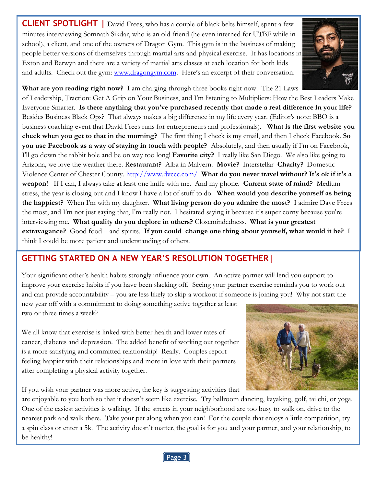**CLIENT SPOTLIGHT |** David Frees, who has a couple of black belts himself, spent a few minutes interviewing Somnath Sikdar, who is an old friend (he even interned for UTBF while in school), a client, and one of the owners of Dragon Gym. This gym is in the business of making people better versions of themselves through martial arts and physical exercise. It has locations in Exton and Berwyn and there are a variety of martial arts classes at each location for both kids and adults. Check out the gym: [www.dragongym.com.](http://www.dragongym.com/) Here's an excerpt of their conversation.



**What are you reading right now?** I am charging through three books right now. The 21 Laws of Leadership, Traction: Get A Grip on Your Business, and I'm listening to Multipliers: How the Best Leaders Make Everyone Smarter. **Is there anything that you've purchased recently that made a real difference in your life?** Besides Business Black Ops? That always makes a big difference in my life every year. (Editor's note: BBO is a business coaching event that David Frees runs for entrepreneurs and professionals). **What is the first website you check when you get to that in the morning?** The first thing I check is my email, and then I check Facebook. **So you use Facebook as a way of staying in touch with people?** Absolutely, and then usually if I'm on Facebook, I'll go down the rabbit hole and be on way too long! **Favorite city?** I really like San Diego. We also like going to Arizona, we love the weather there. R**estaurant?** Alba in Malvern. **Movie?** Interstellar **Charity?** Domestic Violence Center of Chester County.<http://www.dvccc.com/>**What do you never travel without? It's ok if it's a weapon!** If I can, I always take at least one knife with me. And my phone. **Current state of mind?** Medium stress, the year is closing out and I know I have a lot of stuff to do. **When would you describe yourself as being the happiest?** When I'm with my daughter. **What living person do you admire the most?** I admire Dave Frees the most, and I'm not just saying that, I'm really not. I hesitated saying it because it's super corny because you're interviewing me. **What quality do you deplore in others?** Closemindedness. **What is your greatest** 

**extravagance?** Good food – and spirits. **If you could change one thing about yourself, what would it be?** I think I could be more patient and understanding of others.

## **GETTING STARTED ON A NEW YEAR'S RESOLUTION TOGETHER|**

Your significant other's health habits strongly influence your own. An active partner will lend you support to improve your exercise habits if you have been slacking off. Seeing your partner exercise reminds you to work out and can provide accountability – you are less likely to skip a workout if someone is joining you! Why not start the

new year off with a commitment to doing something active together at least two or three times a week?

 is a more satisfying and committed relationship! Really. Couples report feeling happier with their relationships and more in love with their partners We all know that exercise is linked with better health and lower rates of cancer, diabetes and depression. The added benefit of working out together after completing a physical activity together.

If you wish your partner was more active, the key is suggesting activities that



are enjoyable to you both so that it doesn't seem like exercise. Try ballroom dancing, kayaking, golf, tai chi, or yoga. One of the easiest activities is walking. If the streets in your neighborhood are too busy to walk on, drive to the nearest park and walk there. Take your pet along when you can! For the couple that enjoys a little competition, try a spin class or enter a 5k. The activity doesn't matter, the goal is for you and your partner, and your relationship, to be healthy!

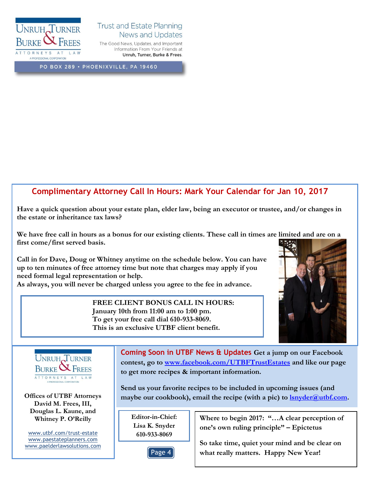

#### **Trust and Estate Planning News and Updates**

The Good News, Updates, and Important Information From Your Friends at Unruh, Turner, Burke & Frees.

PO BOX 289 · PHOENIXVILLE, PA 19460

#### **Complimentary Attorney Call In Hours: Mark Your Calendar for Jan 10, 2017**

**Have a quick question about your estate plan, elder law, being an executor or trustee, and/or changes in the estate or inheritance tax laws?**

**We have free call in hours as a bonus for our existing clients. These call in times are limited and are on a first come/first served basis.**

**Call in for Dave, Doug or Whitney anytime on the schedule below. You can have up to ten minutes of free attorney time but note that charges may apply if you need formal legal representation or help. As always, you will never be charged unless you agree to the fee in advance.**

> **FREE CLIENT BONUS CALL IN HOURS: January 10th from 11:00 am to 1:00 pm. To get your free call dial 610-933-8069. This is an exclusive UTBF client benefit.**





**David M. Frees, III, Douglas L. Kaune, and Whitney P. O'Reilly**

[www.utbf.com/trust-estate](http://www.utbf.com/trust-estate) [www.paestateplanners.com](http://www.paestateplanners.com/) [www.paelderlawsolutions.com](http://www.paelderlawsolutions.com/) **Coming Soon in UTBF News & Updates Get a jump on our Facebook contest, go to [www.facebook.com/UTBFTrustEstates](http://www.facebook.com/UTBFTrustEstates) and like our page to get more recipes & important information.**

**Send us your favorite recipes to be included in upcoming issues (and Offices of UTBF Attorneys maybe our cookbook), email the recipe (with a pic) to <u>lsnyder@utbf.com</u>.** 

> **Editor-in-Chief: Lisa K. Snyder 610-933-8069**



**Where to begin 2017: "…A clear perception of one's own ruling principle" – Epictetus**

**So take time, quiet your mind and be clear on what really matters. Happy New Year!**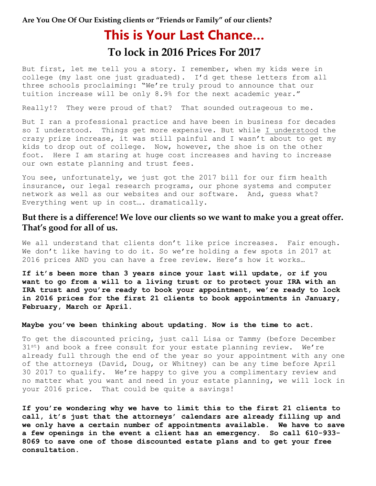**Are You One Of Our Existing clients or "Friends or Family" of our clients?**

# **This is Your Last Chance… To lock in 2016 Prices For 2017**

But first, let me tell you a story. I remember, when my kids were in college (my last one just graduated). I'd get these letters from all three schools proclaiming: "We're truly proud to announce that our tuition increase will be only 8.9% for the next academic year."

Really!? They were proud of that? That sounded outrageous to me.

But I ran a professional practice and have been in business for decades so I understood. Things get more expensive. But while I understood the crazy prize increase, it was still painful and I wasn't about to get my kids to drop out of college. Now, however, the shoe is on the other foot. Here I am staring at huge cost increases and having to increase our own estate planning and trust fees.

You see, unfortunately, we just got the 2017 bill for our firm health insurance, our legal research programs, our phone systems and computer network as well as our websites and our software. And, guess what? Everything went up in cost…. dramatically.

#### **But there is a difference! We love our clients so we want to make you a great offer. That's good for all of us.**

We all understand that clients don't like price increases. Fair enough. We don't like having to do it. So we're holding a few spots in 2017 at 2016 prices AND you can have a free review. Here's how it works…

**If it's been more than 3 years since your last will update, or if you want to go from a will to a living trust or to protect your IRA with an IRA trust and you're ready to book your appointment, we're ready to lock in 2016 prices for the first 21 clients to book appointments in January, February, March or April.**

#### **Maybe you've been thinking about updating. Now is the time to act.**

To get the discounted pricing, just call Lisa or Tammy (before December 31<sup>st</sup>) and book a free consult for your estate planning review. We're already full through the end of the year so your appointment with any one of the attorneys (David, Doug, or Whitney) can be any time before April 30 2017 to qualify. We're happy to give you a complimentary review and no matter what you want and need in your estate planning, we will lock in your 2016 price. That could be quite a savings!

**If you're wondering why we have to limit this to the first 21 clients to call, it's just that the attorneys' calendars are already filling up and we only have a certain number of appointments available. We have to save a few openings in the event a client has an emergency. So call 610-933- 8069 to save one of those discounted estate plans and to get your free consultation.**